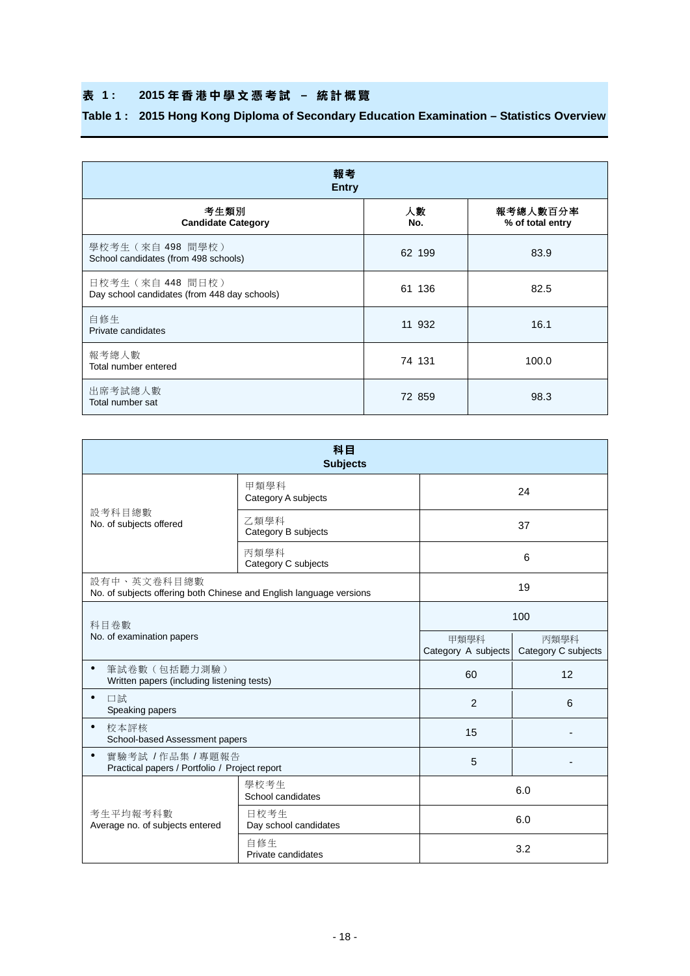## **表 1 : 2015 年香港中學文憑 考 試 – 統計概覽**

## **Table 1 : 2015 Hong Kong Diploma of Secondary Education Examination – Statistics Overview**

| 報考<br><b>Entry</b>                                                |           |                              |  |  |  |  |  |  |  |
|-------------------------------------------------------------------|-----------|------------------------------|--|--|--|--|--|--|--|
| 考生類別<br><b>Candidate Category</b>                                 | 人數<br>No. | 報考總人數百分率<br>% of total entry |  |  |  |  |  |  |  |
| 學校考生 (來自 498 間學校)<br>School candidates (from 498 schools)         | 62 199    | 83.9                         |  |  |  |  |  |  |  |
| 日校考生 (來自 448 間日校)<br>Day school candidates (from 448 day schools) | 61 136    | 82.5                         |  |  |  |  |  |  |  |
| 自修生<br>Private candidates                                         | 11 932    | 16.1                         |  |  |  |  |  |  |  |
| 報考總人數<br>Total number entered                                     | 74 131    | 100.0                        |  |  |  |  |  |  |  |
| 出席考試總人數<br>Total number sat                                       | 72 859    | 98.3                         |  |  |  |  |  |  |  |

| 科目<br><b>Subjects</b>                                                              |                               |                             |                             |  |  |  |  |  |
|------------------------------------------------------------------------------------|-------------------------------|-----------------------------|-----------------------------|--|--|--|--|--|
|                                                                                    | 甲類學科<br>Category A subjects   | 24                          |                             |  |  |  |  |  |
| 設考科目總數<br>No. of subjects offered                                                  | 乙類學科<br>Category B subjects   |                             | 37                          |  |  |  |  |  |
|                                                                                    | 丙類學科<br>Category C subjects   |                             | 6                           |  |  |  |  |  |
| 設有中、英文卷科目總數<br>No. of subjects offering both Chinese and English language versions |                               |                             | 19                          |  |  |  |  |  |
| 科目卷數                                                                               |                               | 100                         |                             |  |  |  |  |  |
| No. of examination papers                                                          |                               | 甲類學科<br>Category A subjects | 丙類學科<br>Category C subjects |  |  |  |  |  |
| $\bullet$<br>筆試卷數 (包括聽力測驗)<br>Written papers (including listening tests)           |                               | 60                          | 12                          |  |  |  |  |  |
| $\bullet$<br>口試<br>Speaking papers                                                 |                               | 2                           | 6                           |  |  |  |  |  |
| $\bullet$<br>校本評核<br>School-based Assessment papers                                |                               | 15                          |                             |  |  |  |  |  |
| $\bullet$<br>實驗考試 / 作品集 / 專題報告<br>Practical papers / Portfolio / Project report    |                               | 5                           |                             |  |  |  |  |  |
|                                                                                    | 學校考生<br>School candidates     |                             | 6.0                         |  |  |  |  |  |
| 考生平均報考科數<br>Average no. of subjects entered                                        | 日校考生<br>Day school candidates | 6.0                         |                             |  |  |  |  |  |
|                                                                                    | 白修生<br>Private candidates     | 3.2                         |                             |  |  |  |  |  |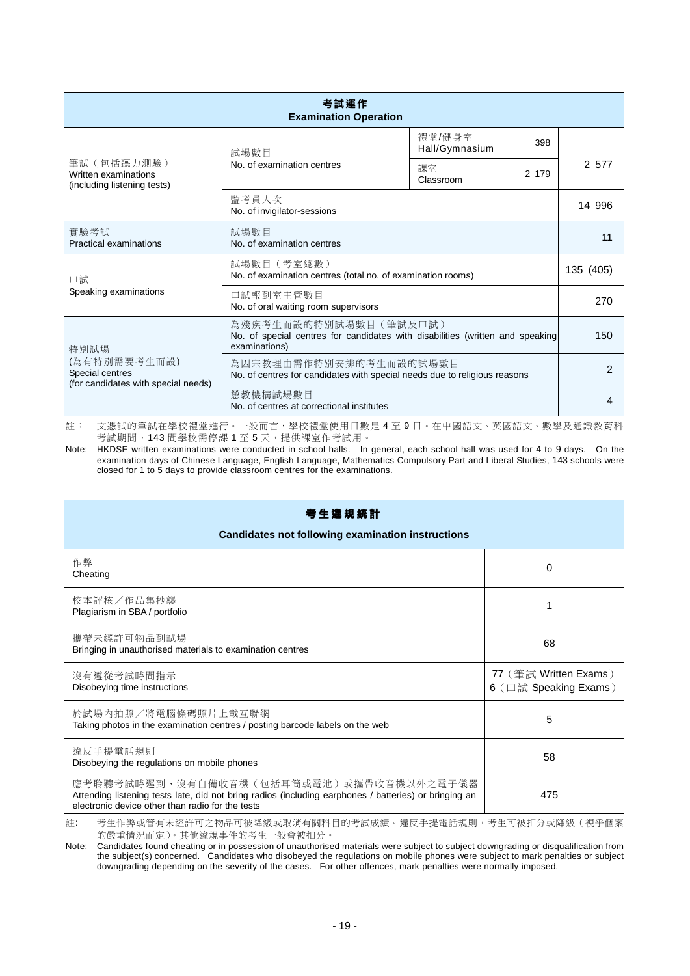| 考試運作<br><b>Examination Operation</b>                                   |                                                                                                                         |                                 |        |  |  |  |  |  |  |
|------------------------------------------------------------------------|-------------------------------------------------------------------------------------------------------------------------|---------------------------------|--------|--|--|--|--|--|--|
|                                                                        | 試場數目                                                                                                                    | 禮堂/健身室<br>398<br>Hall/Gymnasium |        |  |  |  |  |  |  |
| 筆試 (包括聽力測驗)<br>Written examinations<br>(including listening tests)     | No. of examination centres                                                                                              | 課室<br>2 179<br>Classroom        | 2 577  |  |  |  |  |  |  |
|                                                                        | 監考員人次<br>No. of invigilator-sessions                                                                                    |                                 | 14 996 |  |  |  |  |  |  |
| 實驗考試<br>Practical examinations                                         | 試場數目<br>No. of examination centres                                                                                      | 11                              |        |  |  |  |  |  |  |
| 口試                                                                     | 試場數目 (考室總數)<br>No. of examination centres (total no. of examination rooms)                                              | 135 (405)                       |        |  |  |  |  |  |  |
| Speaking examinations                                                  | 口試報到室主管數目<br>No. of oral waiting room supervisors                                                                       | 270                             |        |  |  |  |  |  |  |
| 特別試場                                                                   | 為殘疾考生而設的特別試場數目(筆試及口試)<br>No. of special centres for candidates with disabilities (written and speaking<br>examinations) | 150                             |        |  |  |  |  |  |  |
| (為有特別需要考生而設)<br>Special centres<br>(for candidates with special needs) | 為因宗教理由需作特別安排的考生而設的試場數目<br>No. of centres for candidates with special needs due to religious reasons                     | 2                               |        |  |  |  |  |  |  |
|                                                                        | 懲教機構試場數目<br>No. of centres at correctional institutes                                                                   | 4                               |        |  |  |  |  |  |  |

註: 文憑試的筆試在學校禮堂進行。一般而言,學校禮堂使用日數是 4 至 9 日。在中國語文、英國語文、數學及通識教育科 考試期間,143 間學校需停課 1 至 5 天,提供課室作考試用。

Note: HKDSE written examinations were conducted in school halls. In general, each school hall was used for 4 to 9 days. On the examination days of Chinese Language, English Language, Mathematics Compulsory Part and Liberal Studies, 143 schools were closed for 1 to 5 days to provide classroom centres for the examinations.

| 考生達規統計<br><b>Candidates not following examination instructions</b>                                                                                                                                   |                                                |
|------------------------------------------------------------------------------------------------------------------------------------------------------------------------------------------------------|------------------------------------------------|
| 作弊<br>Cheating                                                                                                                                                                                       | 0                                              |
| 校本評核/作品集抄襲<br>Plagiarism in SBA / portfolio                                                                                                                                                          |                                                |
| 攜帶未經許可物品到試場<br>Bringing in unauthorised materials to examination centres                                                                                                                             | 68                                             |
| 沒有遵從考試時間指示<br>Disobeying time instructions                                                                                                                                                           | 77 (筆試 Written Exams)<br>6 (口試 Speaking Exams) |
| 於試場內拍照/將電腦條碼照片上載互聯網<br>Taking photos in the examination centres / posting barcode labels on the web                                                                                                  | 5                                              |
| 違反手提電話規則<br>Disobeying the regulations on mobile phones                                                                                                                                              | 58                                             |
| 應考聆聽考試時遲到、沒有自備收音機(包括耳筒或電池)或攜帶收音機以外之電子儀器<br>Attending listening tests late, did not bring radios (including earphones / batteries) or bringing an<br>electronic device other than radio for the tests | 475                                            |

註: 考生作弊或管有未經許可之物品可被降級或取消有關科目的考試成績。違反手提電話規則,考生可被扣分或降級(視乎個案 的嚴重情況而定)。其他違規事件的考生一般會被扣分。

Note: Candidates found cheating or in possession of unauthorised materials were subject to subject downgrading or disqualification from the subject(s) concerned. Candidates who disobeyed the regulations on mobile phones were subject to mark penalties or subject downgrading depending on the severity of the cases. For other offences, mark penalties were normally imposed.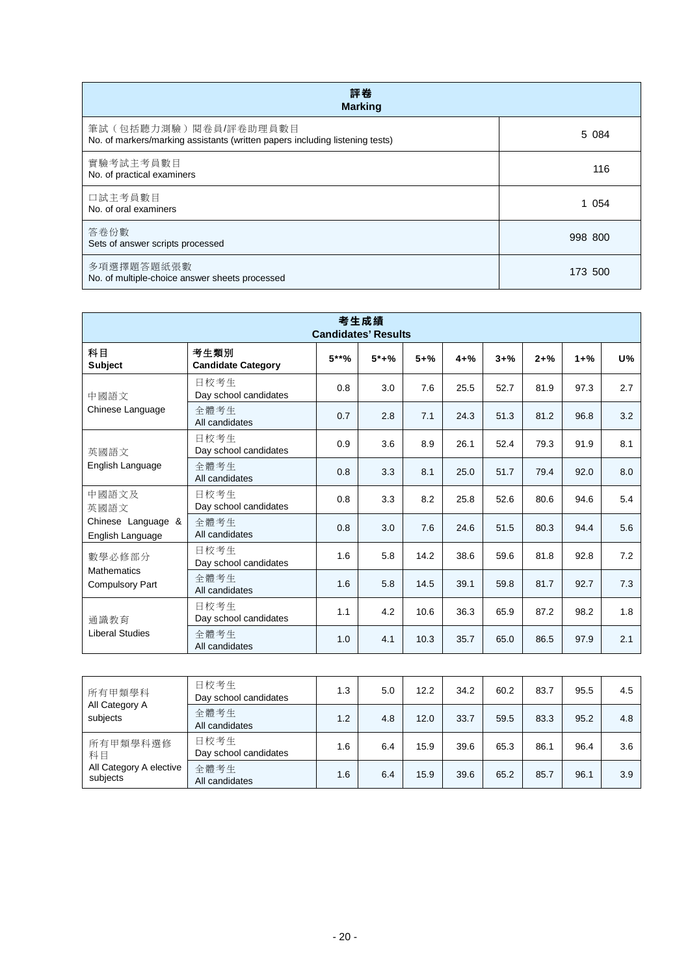| 評卷<br><b>Marking</b>                                                                                    |         |
|---------------------------------------------------------------------------------------------------------|---------|
| 筆試 (包括聽力測驗) 閱卷員/評卷助理員數目<br>No. of markers/marking assistants (written papers including listening tests) | 5 0 8 4 |
| 實驗考試主考員數目<br>No. of practical examiners                                                                 | 116     |
| 口試主考員數目<br>No. of oral examiners                                                                        | 1 0 5 4 |
| 答卷份數<br>Sets of answer scripts processed                                                                | 998 800 |
| 多項選擇題答題紙張數<br>No. of multiple-choice answer sheets processed                                            | 173 500 |

| 考生成績<br><b>Candidates' Results</b>           |                                   |         |        |          |          |          |          |          |           |  |  |
|----------------------------------------------|-----------------------------------|---------|--------|----------|----------|----------|----------|----------|-----------|--|--|
| 科目<br><b>Subject</b>                         | 考生類別<br><b>Candidate Category</b> | $5***%$ | $5*+%$ | $5 + \%$ | $4 + \%$ | $3 + \%$ | $2 + \%$ | $1 + \%$ | <b>U%</b> |  |  |
| 中國語文                                         | 日校考生<br>Day school candidates     | 0.8     | 3.0    | 7.6      | 25.5     | 52.7     | 81.9     | 97.3     | 2.7       |  |  |
| Chinese Language                             | 全體考生<br>All candidates            | 0.7     | 2.8    | 7.1      | 24.3     | 51.3     | 81.2     | 96.8     | 3.2       |  |  |
| 英國語文<br>English Language                     | 日校考生<br>Day school candidates     | 0.9     | 3.6    | 8.9      | 26.1     | 52.4     | 79.3     | 91.9     | 8.1       |  |  |
|                                              | 全體考生<br>All candidates            | 0.8     | 3.3    | 8.1      | 25.0     | 51.7     | 79.4     | 92.0     | 8.0       |  |  |
| 中國語文及<br>英國語文                                | 日校考生<br>Day school candidates     | 0.8     | 3.3    | 8.2      | 25.8     | 52.6     | 80.6     | 94.6     | 5.4       |  |  |
| Chinese Language &<br>English Language       | 全體考生<br>All candidates            | 0.8     | 3.0    | 7.6      | 24.6     | 51.5     | 80.3     | 94.4     | 5.6       |  |  |
| 數學必修部分                                       | 日校考生<br>Day school candidates     | 1.6     | 5.8    | 14.2     | 38.6     | 59.6     | 81.8     | 92.8     | 7.2       |  |  |
| <b>Mathematics</b><br><b>Compulsory Part</b> | 全體考生<br>All candidates            | 1.6     | 5.8    | 14.5     | 39.1     | 59.8     | 81.7     | 92.7     | 7.3       |  |  |
| 通識教育                                         | 日校考生<br>Day school candidates     | 1.1     | 4.2    | 10.6     | 36.3     | 65.9     | 87.2     | 98.2     | 1.8       |  |  |
| <b>Liberal Studies</b>                       | 全體考生<br>All candidates            | 1.0     | 4.1    | 10.3     | 35.7     | 65.0     | 86.5     | 97.9     | 2.1       |  |  |

| 所有甲類學科<br>All Category A<br>subjects | 日校考生<br>Day school candidates | 1.3 | 5.0 | 12.2 | 34.2 | 60.2 | 83.7 | 95.5 | 4.5 |
|--------------------------------------|-------------------------------|-----|-----|------|------|------|------|------|-----|
|                                      | 全體考生<br>All candidates        | 1.2 | 4.8 | 12.0 | 33.7 | 59.5 | 83.3 | 95.2 | 4.8 |
| 所有甲類學科選修<br>科目                       | 日校考生<br>Day school candidates | 1.6 | 6.4 | 15.9 | 39.6 | 65.3 | 86.1 | 96.4 | 3.6 |
| All Category A elective<br>subjects  | 全體考生<br>All candidates        | 1.6 | 6.4 | 15.9 | 39.6 | 65.2 | 85.7 | 96.1 | 3.9 |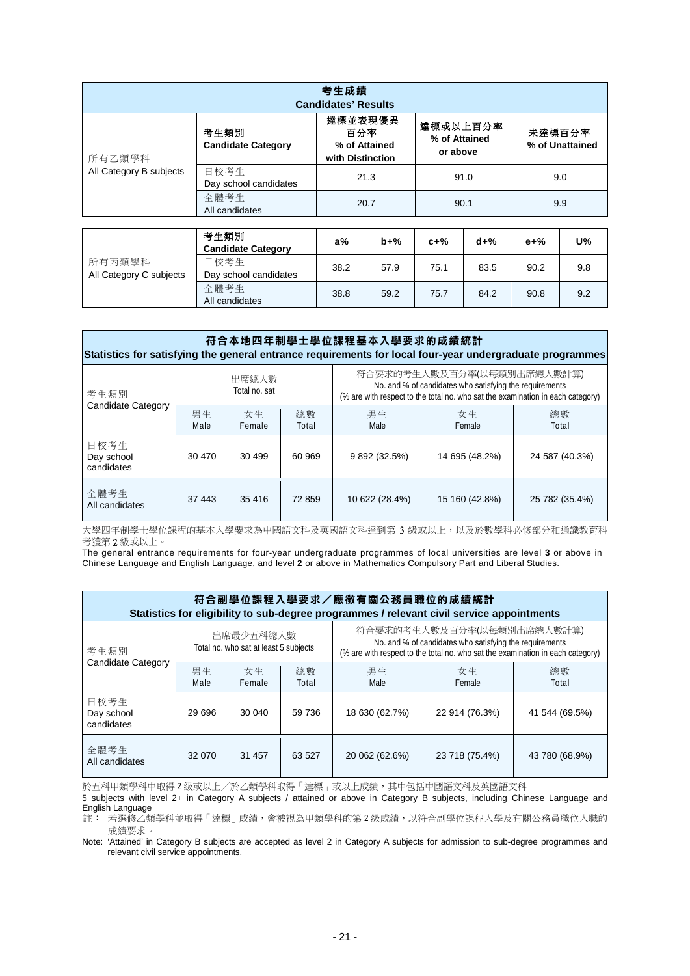| 考生成績<br><b>Candidates' Results</b> |                                   |                                                     |                                       |                           |  |  |  |  |  |
|------------------------------------|-----------------------------------|-----------------------------------------------------|---------------------------------------|---------------------------|--|--|--|--|--|
| 所有乙類學科                             | 考生類別<br><b>Candidate Category</b> | 達標並表現優異<br>百分率<br>% of Attained<br>with Distinction | 達標或以上百分率<br>% of Attained<br>or above | 未達標百分率<br>% of Unattained |  |  |  |  |  |
| All Category B subjects            | 日校考生<br>Day school candidates     | 21.3                                                | 91.0                                  | 9.0                       |  |  |  |  |  |
|                                    | 全體考生<br>All candidates            | 20.7                                                | 90.1                                  | 9.9                       |  |  |  |  |  |

|                                   | 考生類別<br><b>Candidate Category</b> | $a\%$ | $b+%$ | $c+%$ | $d+%$ | e+%  | U%  |
|-----------------------------------|-----------------------------------|-------|-------|-------|-------|------|-----|
| 所有丙類學科<br>All Category C subjects | 日校考生<br>Day school candidates     | 38.2  | 57.9  | 75.1  | 83.5  | 90.2 | 9.8 |
|                                   | 全體考生<br>All candidates            | 38.8  | 59.2  | 75.7  | 84.2  | 90.8 | 9.2 |

| 符合本地四年制學士學位課程基本入學要求的成績統計<br>Statistics for satisfying the general entrance requirements for local four-year undergraduate programmes |            |                                                                                                                                                                                                   |             |                |                |                |  |  |  |  |  |
|--------------------------------------------------------------------------------------------------------------------------------------|------------|---------------------------------------------------------------------------------------------------------------------------------------------------------------------------------------------------|-------------|----------------|----------------|----------------|--|--|--|--|--|
| 考生類別<br><b>Candidate Category</b>                                                                                                    |            | 符合要求的考生人數及百分率(以每類別出席總人數計算)<br>出席總人數<br>No. and % of candidates who satisfying the requirements<br>Total no. sat<br>(% are with respect to the total no. who sat the examination in each category) |             |                |                |                |  |  |  |  |  |
|                                                                                                                                      | 男生<br>Male | 女生<br>Female                                                                                                                                                                                      | 總數<br>Total | 男生<br>Male     | 女生<br>Female   | 總數<br>Total    |  |  |  |  |  |
| 日校考生<br>Day school<br>candidates                                                                                                     | 30 470     | 30 499                                                                                                                                                                                            | 60 969      | 9 892 (32.5%)  | 14 695 (48.2%) | 24 587 (40.3%) |  |  |  |  |  |
| 全體考生<br>All candidates                                                                                                               | 37 443     | 35 416                                                                                                                                                                                            | 72859       | 10 622 (28.4%) | 15 160 (42.8%) | 25 782 (35.4%) |  |  |  |  |  |

大學四年制學士學位課程的基本入學要求為中國語文科及英國語文科達到第 3 級或以上,以及於數學科必修部分和通識教育科 考獲第 2 級或以上。

The general entrance requirements for four-year undergraduate programmes of local universities are level **3** or above in Chinese Language and English Language, and level **2** or above in Mathematics Compulsory Part and Liberal Studies.

| 符合副學位課程入學要求/應徵有關公務員職位的成績統計<br>Statistics for eligibility to sub-degree programmes / relevant civil service appointments |            |                                                    |             |                                                                                                                                                                         |                |                |  |  |  |  |  |
|-------------------------------------------------------------------------------------------------------------------------|------------|----------------------------------------------------|-------------|-------------------------------------------------------------------------------------------------------------------------------------------------------------------------|----------------|----------------|--|--|--|--|--|
| 考生類別<br>Candidate Category                                                                                              |            | 出席最少五科總人數<br>Total no. who sat at least 5 subjects |             | 符合要求的考生人數及百分率(以每類別出席總人數計算)<br>No. and % of candidates who satisfying the requirements<br>(% are with respect to the total no. who sat the examination in each category) |                |                |  |  |  |  |  |
|                                                                                                                         | 男生<br>Male | 女生<br>Female                                       | 總數<br>Total | 男生<br>Male                                                                                                                                                              | 女生<br>Female   | 總數<br>Total    |  |  |  |  |  |
| 日校考生<br>Day school<br>candidates                                                                                        | 29 696     | 30 040                                             | 59 736      | 18 630 (62.7%)                                                                                                                                                          | 22 914 (76.3%) | 41 544 (69.5%) |  |  |  |  |  |
| 全體考生<br>All candidates                                                                                                  | 32 070     | 31 457                                             | 63 527      | 20 062 (62.6%)                                                                                                                                                          | 23 718 (75.4%) | 43 780 (68.9%) |  |  |  |  |  |

於五科甲類學科中取得2級或以上/於乙類學科取得「達標」或以上成績,其中包括中國語文科及英國語文科

5 subjects with level 2+ in Category A subjects / attained or above in Category B subjects, including Chinese Language and English Language 註: 若選修乙類學科並取得「達標」成績,會被視為甲類學科的第 2 級成績,以符合副學位課程入學及有關公務員職位入職的

成績要求。

Note: 'Attained' in Category B subjects are accepted as level 2 in Category A subjects for admission to sub-degree programmes and relevant civil service appointments.